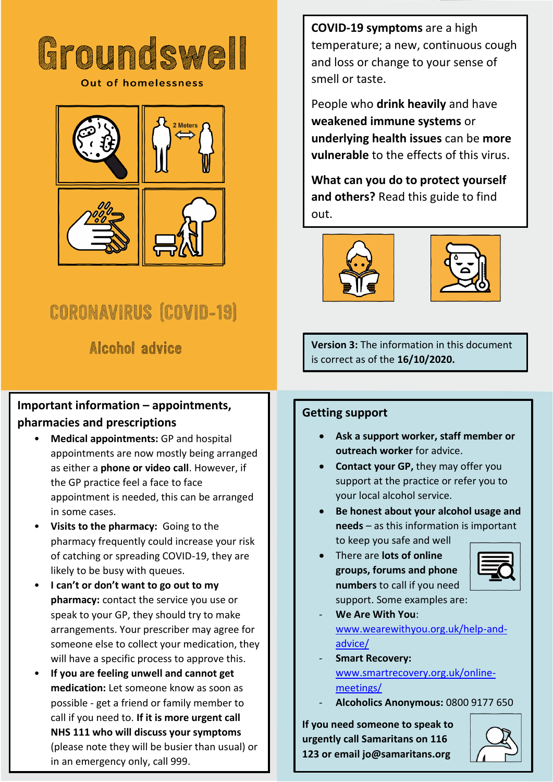

**Out of homelessness** 



# **CORONAVIRUS (COVID-19)**

Alcohol advice

# **Important information – appointments, pharmacies and prescriptions**

- **Medical appointments:** GP and hospital appointments are now mostly being arranged as either a **phone or video call**. However, if the GP practice feel a face to face appointment is needed, this can be arranged in some cases.
- **Visits to the pharmacy:** Going to the pharmacy frequently could increase your risk of catching or spreading COVID-19, they are likely to be busy with queues.
- **I can't or don't want to go out to my pharmacy:** contact the service you use or speak to your GP, they should try to make arrangements. Your prescriber may agree for someone else to collect your medication, they will have a specific process to approve this.
- **If you are feeling unwell and cannot get medication:** Let someone know as soon as possible - get a friend or family member to call if you need to. **If it is more urgent call NHS 111 who will discuss your symptoms** (please note they will be busier than usual) or in an emergency only, call 999.

**COVID-19 symptoms** are a high temperature; a new, continuous cough and loss or change to your sense of smell or taste.

People who **drink heavily** and have **weakened immune systems** or **underlying health issues** can be **more vulnerable** to the effects of this virus.

**What can you do to protect yourself and others?** Read this guide to find out.





**Version 3:** The information in this document is correct as of the **16/10/2020.**

# **Getting support**

- **Ask a support worker, staff member or outreach worker** for advice.
- **Contact your GP,** they may offer you support at the practice or refer you to your local alcohol service.
- **Be honest about your alcohol usage and needs** – as this information is important to keep you safe and well
- There are **lots of online groups, forums and phone numbers** to call if you need support. Some examples are:



- **We Are With You**: [www.wearewithyou.org.uk/help-and](http://www.wearewithyou.org.uk/help-and-advice/)[advice/](http://www.wearewithyou.org.uk/help-and-advice/)
- **Smart Recovery:** [www.smartrecovery.org.uk/online](http://www.smartrecovery.org.uk/online-meetings/)[meetings/](http://www.smartrecovery.org.uk/online-meetings/)
- **Alcoholics Anonymous:** 0800 9177 650

**If you need someone to speak to urgently call Samaritans on 116 123 or email jo@samaritans.org**